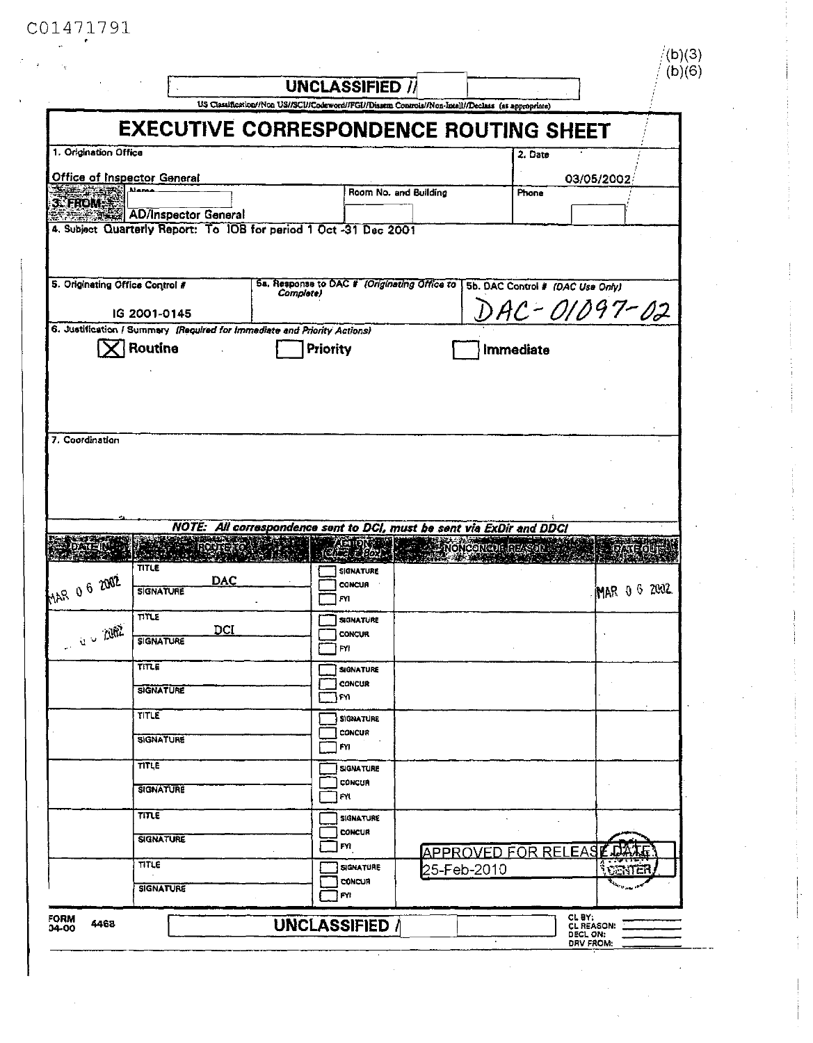## C01471791

|                                                                          |                             |            |           | <b>UNCLASSIFIED /</b><br>US Classification//Non US//SCI//Codeword//FGI//Dissem Controls//Non-Intell//Declass (as appropriate) |                       |                                  |                                    | (b)(6) |
|--------------------------------------------------------------------------|-----------------------------|------------|-----------|-------------------------------------------------------------------------------------------------------------------------------|-----------------------|----------------------------------|------------------------------------|--------|
|                                                                          |                             |            |           | EXECUTIVE CORRESPONDENCE ROUTING SHEET                                                                                        |                       |                                  |                                    |        |
| 1. Origination Office                                                    |                             |            |           |                                                                                                                               |                       | 2. Date                          |                                    |        |
| <b>Office of Inspector General</b>                                       | <b>Manas</b>                |            |           |                                                                                                                               | Room No. and Building | Phone                            | 03/05/2002                         |        |
| <b>3. FROM.</b>                                                          | <b>AD/Inspector General</b> |            |           |                                                                                                                               |                       |                                  |                                    |        |
|                                                                          |                             |            |           | 4. Subject Quarterly Report: To IOB for period 1 Oct -31 Dec 2001                                                             |                       |                                  |                                    |        |
|                                                                          |                             |            |           |                                                                                                                               |                       |                                  |                                    |        |
| 5. Originating Office Control #                                          |                             |            |           | 5a. Response to DAC # (Originating Office to                                                                                  |                       | 5b. DAC Control # (DAC Use Only) |                                    |        |
|                                                                          | IG 2001-0145                |            | Complete) |                                                                                                                               |                       |                                  | AC-01097-02                        |        |
| 6. Justification / Summary (Required for Immediate and Priority Actions) |                             |            |           |                                                                                                                               |                       |                                  |                                    |        |
|                                                                          | Routine                     |            |           | Priority                                                                                                                      |                       | Immediate                        |                                    |        |
|                                                                          |                             |            |           |                                                                                                                               |                       |                                  |                                    |        |
|                                                                          |                             |            |           |                                                                                                                               |                       |                                  |                                    |        |
|                                                                          |                             |            |           |                                                                                                                               |                       |                                  |                                    |        |
| 7. Coordination                                                          |                             |            |           |                                                                                                                               |                       |                                  |                                    |        |
|                                                                          |                             |            |           |                                                                                                                               |                       |                                  |                                    |        |
|                                                                          |                             |            |           |                                                                                                                               |                       |                                  |                                    |        |
|                                                                          |                             |            |           |                                                                                                                               |                       |                                  |                                    |        |
|                                                                          |                             |            |           |                                                                                                                               |                       |                                  |                                    |        |
|                                                                          |                             |            |           | NOTE: All correspondence sent to DCI, must be sent via ExDir and DDCI                                                         |                       |                                  |                                    |        |
|                                                                          |                             |            |           |                                                                                                                               |                       | <u>্ট মতি (correct mage</u>      |                                    |        |
|                                                                          | <b>TITLE</b>                |            |           | SIGNATURE                                                                                                                     |                       |                                  |                                    |        |
|                                                                          | <b>SIGNATURE</b>            | <b>DAC</b> |           | <b>CONCUR</b>                                                                                                                 |                       |                                  | MAR 0 6 2002                       |        |
|                                                                          | TITLE                       |            |           | F۷I                                                                                                                           |                       |                                  |                                    |        |
|                                                                          |                             | <b>DCI</b> |           | <b>SIGNATURE</b><br><b>CONCUR</b>                                                                                             |                       |                                  |                                    |        |
| MAR 0 6 2002<br>$u \sim 1002$                                            | <b>SIGNATURE</b>            |            |           | FYI                                                                                                                           |                       |                                  |                                    |        |
|                                                                          | TITLE                       |            |           | <b>SIGNATURE</b>                                                                                                              |                       |                                  |                                    |        |
|                                                                          | SIGNATURE                   |            |           | CONCUR<br>FYI.                                                                                                                |                       |                                  |                                    |        |
|                                                                          | TITLE                       |            |           | <b>SIGNATURE</b>                                                                                                              |                       |                                  |                                    |        |
|                                                                          | <b>SIGNATURE</b>            |            |           | CONCUR                                                                                                                        |                       |                                  |                                    |        |
|                                                                          | TITLE                       |            |           | FYI                                                                                                                           |                       |                                  |                                    |        |
|                                                                          |                             |            |           | <b>SIGNATURE</b><br>CONCUR                                                                                                    |                       |                                  |                                    |        |
|                                                                          | <b>SIGNATURE</b>            |            |           | FYI                                                                                                                           |                       |                                  |                                    |        |
|                                                                          | <b>TITLE</b>                |            |           | <b>SIGNATURE</b>                                                                                                              |                       |                                  |                                    |        |
|                                                                          | <b>SIGNATURE</b>            |            |           | <b>CONCUR</b><br>FYI.                                                                                                         |                       |                                  |                                    |        |
|                                                                          | TITLE                       |            |           | SIGNATURE                                                                                                                     |                       |                                  | APPROVED FOR RELEASE DAT<br>ែតមាតា |        |
|                                                                          | <b>SIGNATURE</b>            |            |           | CONCUR                                                                                                                        |                       | 25-Feb-2010                      |                                    |        |
| <b>FORM</b>                                                              |                             |            |           | FY!<br>UNCLASSIFIED /                                                                                                         |                       |                                  | CL BY:                             |        |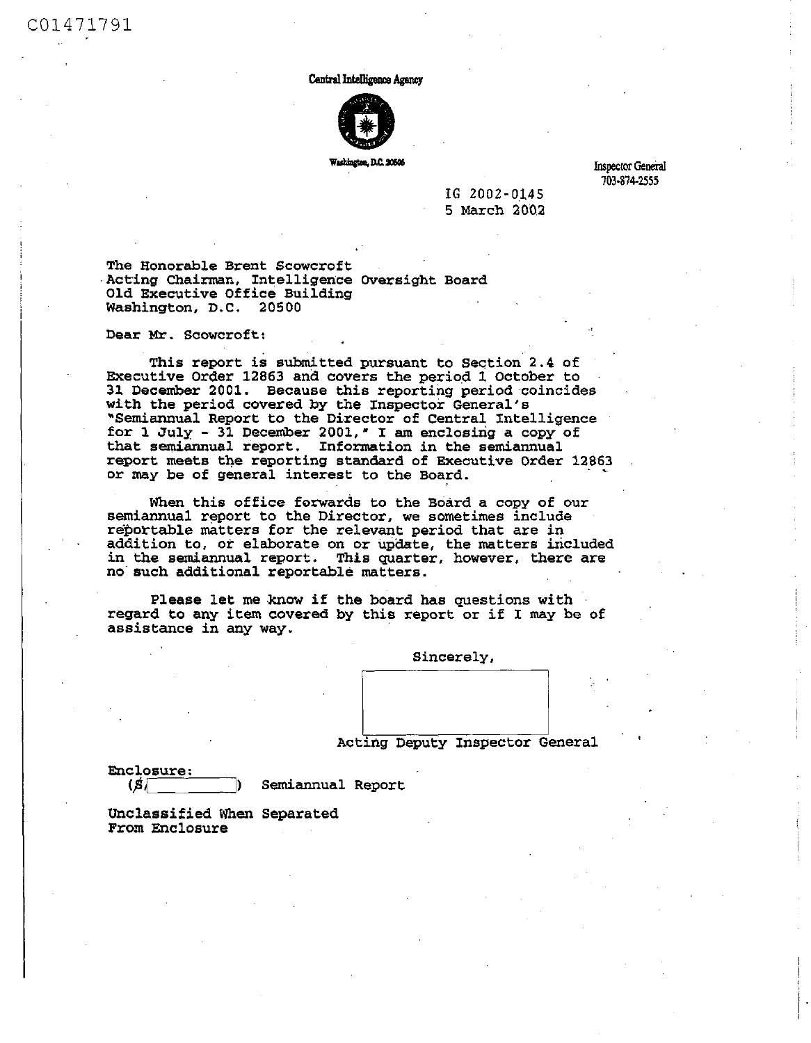Central Intelligence Agency



Washington, D.C. 20506

**Inspector General 703-874-2555** 

**I G 2002-0.14 5 5 March 200.2** 

**The Honorable Brent Scowcroft Acting Chairman, Intelligence Oversight Board Old Executive Office Building Washington, D.C. 20500** 

**Dear Mr . Scowcroft:** 

**This report is submitted pursuant to Section 2.4 of Executive Order 12863 and covers the period 1 October to 31 December 2001. Because this reporting period coincides with the period covered by the Inspector General's "Semiannual Report to the Director of Central Intelligence for 1 July - 31 December 2001," I am enclosing a copy of that semiannual report. Information in the semiannual report meets the reporting standard of Executive Order 12863**  or may be of general interest to the Board.

**When this office forwards to the Board a copy of our semiannual report to the Director, we sometimes include reportable matters for the relevant period that are in addition to, or elaborate on or update, the matters included in the semiannual report. This quarter, however, there are no such additional reportable matters.** 

**Please let me know if the board has questions with regard to any item covered by this report or if I may be of assistance in any way.** 

**Sincerely,** 

**Acting Deputy Inspector General** 

**Enclosure;**   $(S)$ 

**|) Semiannual Report** 

**Unclassified When Separated From Enclosure**